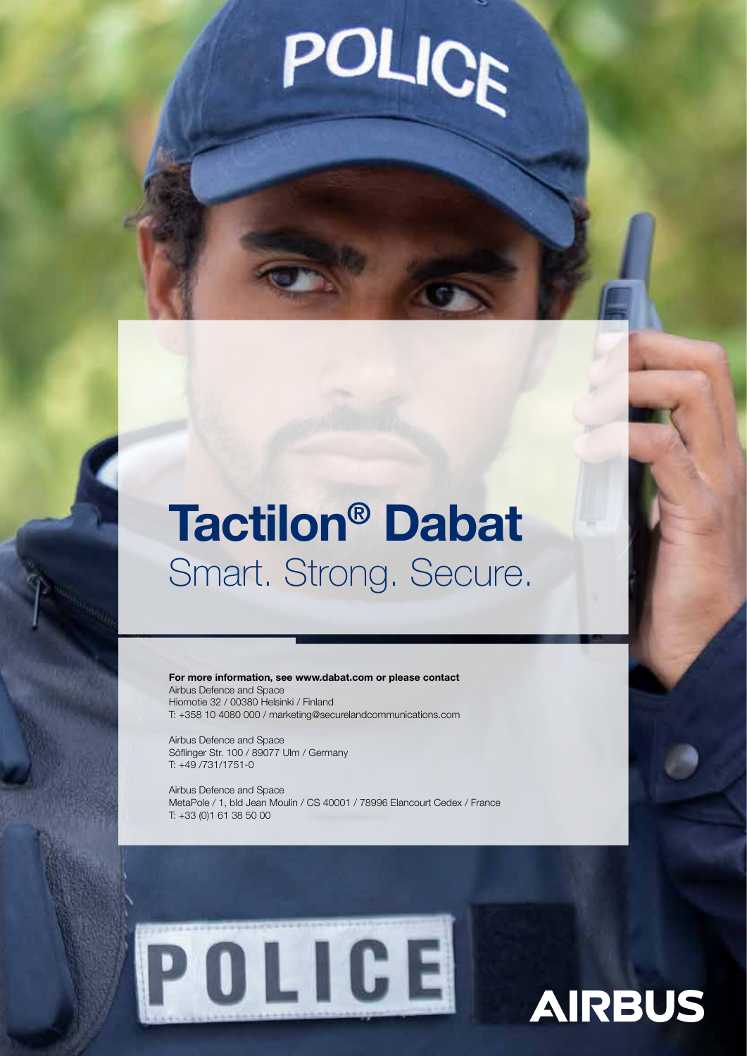# **POLICE**

## Tactilon® Dabat Smart. Strong. Secure.

For more information, see www.dabat.com or please contact Airbus Defence and Space Hiomotie 32 / 00380 Helsinki / Finland T: +358 10 4080 000 / marketing@securelandcommunications.com

Airbus Defence and Space Söflinger Str. 100 / 89077 Ulm / Germany T: +49 /731/1751-0

Airbus Defence and Space MetaPole / 1, bld Jean Moulin / CS 40001 / 78996 Elancourt Cedex / France T: +33 (0)1 61 38 50 00



# **AIRBUS**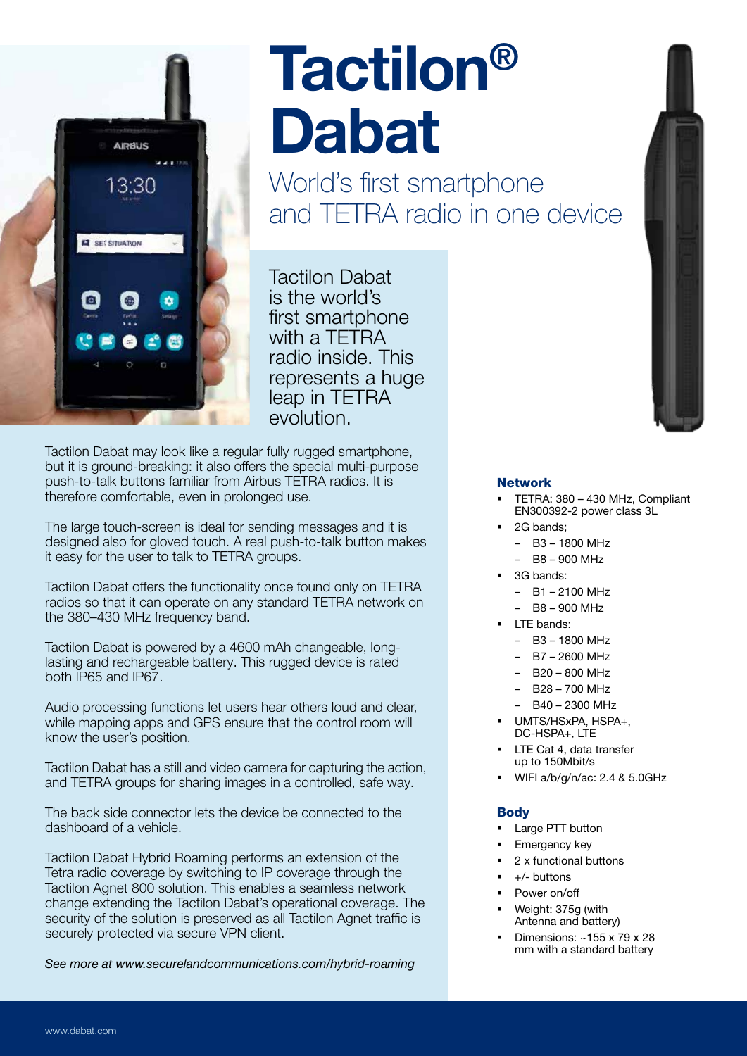

# Tactilon® Dabat

World's first smartphone and TETRA radio in one device

Tactilon Dabat is the world's first smartphone with a TETRA radio inside. This represents a huge leap in TETRA evolution.

Tactilon Dabat may look like a regular fully rugged smartphone, but it is ground-breaking: it also offers the special multi-purpose push-to-talk buttons familiar from Airbus TETRA radios. It is therefore comfortable, even in prolonged use.

The large touch-screen is ideal for sending messages and it is designed also for gloved touch. A real push-to-talk button makes it easy for the user to talk to TETRA groups.

Tactilon Dabat offers the functionality once found only on TETRA radios so that it can operate on any standard TETRA network on the 380–430 MHz frequency band.

Tactilon Dabat is powered by a 4600 mAh changeable, longlasting and rechargeable battery. This rugged device is rated both IP65 and IP67.

Audio processing functions let users hear others loud and clear, while mapping apps and GPS ensure that the control room will know the user's position.

Tactilon Dabat has a still and video camera for capturing the action, and TETRA groups for sharing images in a controlled, safe way.

The back side connector lets the device be connected to the dashboard of a vehicle.

Tactilon Dabat Hybrid Roaming performs an extension of the Tetra radio coverage by switching to IP coverage through the Tactilon Agnet 800 solution. This enables a seamless network change extending the Tactilon Dabat's operational coverage. The security of the solution is preserved as all Tactilon Agnet traffic is securely protected via secure VPN client.

See more at www.securelandcommunications.com/hybrid-roaming



### Network

- § TETRA: 380 430 MHz, Compliant EN300392-2 power class 3L
- 2G bands;
	- B3 1800 MHz
	- B8 900 MHz
- § 3G bands:
	- B1 2100 MHz
	- B8 900 MHz
- LTE bands:
	- $-$  B<sub>3</sub> 1800 MHz
	- B7 2600 MHz
	- B20 800 MHz
	- B28 700 MHz
	- B40 2300 MHz
- § UMTS/HSxPA, HSPA+, DC-HSPA+, LTE
- LTE Cat 4, data transfer up to 150Mbit/s
- § WIFI a/b/g/n/ac: 2.4 & 5.0GHz

### **Body**

- Large PTT button
- § Emergency key
- § 2 x functional buttons
- § +/- buttons
- § Power on/off
- § Weight: 375g (with Antenna and battery)
- § Dimensions: ~155 x 79 x 28 mm with a standard battery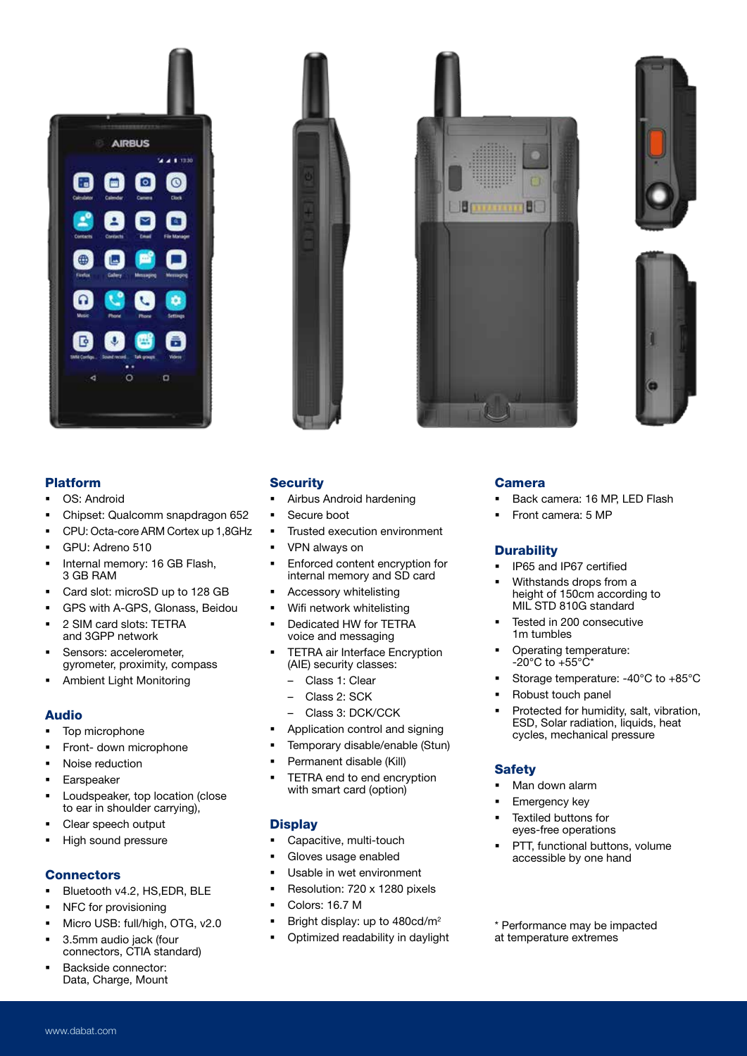# **AIRBUS**  $4.1 - 12.3$  $^{\circ}$  $\circ$ o



# B





### Platform

- OS: Android
- § Chipset: Qualcomm snapdragon 652
- § CPU: Octa-core ARM Cortex up 1,8GHz
- § GPU: Adreno 510
- Internal memory: 16 GB Flash, 3 GB RAM
- § Card slot: microSD up to 128 GB
- § GPS with A-GPS, Glonass, Beidou
- § 2 SIM card slots: TETRA and 3GPP network
- Sensors: accelerometer, gyrometer, proximity, compass
- § Ambient Light Monitoring

### Audio

- § Top microphone
- § Front- down microphone
- Noise reduction
- **Earspeaker**
- § Loudspeaker, top location (close to ear in shoulder carrying),
- § Clear speech output
- § High sound pressure

### **Connectors**

- § Bluetooth v4.2, HS,EDR, BLE
- NFC for provisioning
- § Micro USB: full/high, OTG, v2.0
- § 3.5mm audio jack (four
- connectors, CTIA standard) § Backside connector:
- Data, Charge, Mount

### **Security**

- § Airbus Android hardening
- § Secure boot
- Trusted execution environment
- § VPN always on
- Enforced content encryption for internal memory and SD card
- § Accessory whitelisting
- § Wifi network whitelisting
- Dedicated HW for TETRA voice and messaging
- TETRA air Interface Encryption (AIE) security classes:
	- Class 1: Clear
	- Class 2: SCK
	- Class 3: DCK/CCK
- § Application control and signing
- § Temporary disable/enable (Stun)
- § Permanent disable (Kill)
- TETRA end to end encryption with smart card (option)

### **Display**

- § Capacitive, multi-touch
- § Gloves usage enabled
- Usable in wet environment
- § Resolution: 720 x 1280 pixels
- § Colors: 16.7 M
- § Bright display: up to 480cd/m2
- § Optimized readability in daylight

### Camera

- Back camera: 16 MP, LED Flash
- § Front camera: 5 MP

### **Durability**

- § IP65 and IP67 certified
- Withstands drops from a height of 150cm according to MIL STD 810G standard
- § Tested in 200 consecutive 1m tumbles
- § Operating temperature:  $-20^{\circ}$ C to  $+55^{\circ}$ C\*
- § Storage temperature: -40°C to +85°C
- § Robust touch panel
- § Protected for humidity, salt, vibration, ESD, Solar radiation, liquids, heat cycles, mechanical pressure

### **Safety**

- Man down alarm
- § Emergency key
- § Textiled buttons for eyes-free operations
- § PTT, functional buttons, volume accessible by one hand

\* Performance may be impacted at temperature extremes